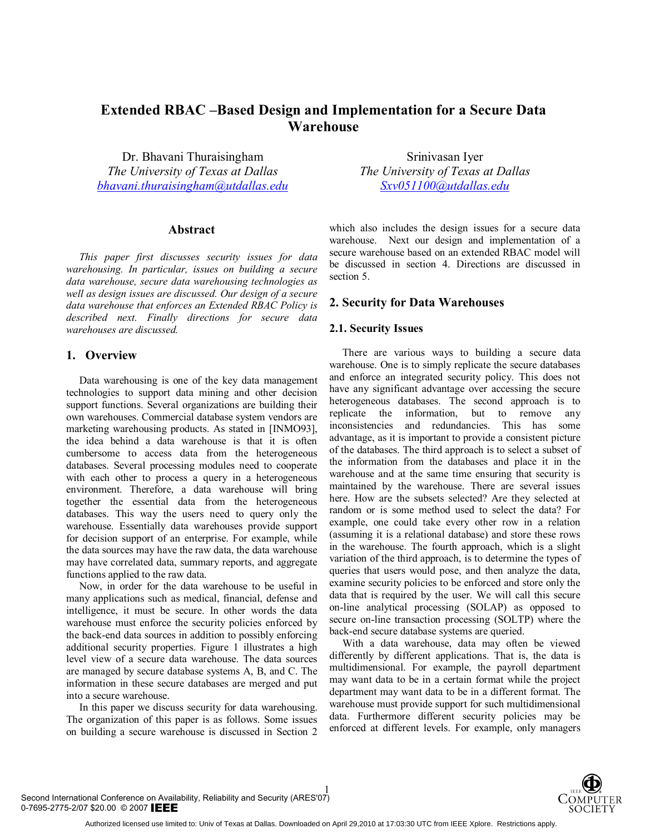# **Extended RBAC –Based Design and Implementation for a Secure Data Warehouse**

Dr. Bhavani Thuraisingham *The University of Texas at Dallas bhavani.thuraisingham@utdallas.edu*

#### **Abstract**

*This paper first discusses security issues for data warehousing. In particular, issues on building a secure data warehouse, secure data warehousing technologies as well as design issues are discussed. Our design of a secure data warehouse that enforces an Extended RBAC Policy is described next. Finally directions for secure data warehouses are discussed.* 

## **1. Overview**

Data warehousing is one of the key data management technologies to support data mining and other decision support functions. Several organizations are building their own warehouses. Commercial database system vendors are marketing warehousing products. As stated in [INMO93], the idea behind a data warehouse is that it is often cumbersome to access data from the heterogeneous databases. Several processing modules need to cooperate with each other to process a query in a heterogeneous environment. Therefore, a data warehouse will bring together the essential data from the heterogeneous databases. This way the users need to query only the warehouse. Essentially data warehouses provide support for decision support of an enterprise. For example, while the data sources may have the raw data, the data warehouse may have correlated data, summary reports, and aggregate functions applied to the raw data.

Now, in order for the data warehouse to be useful in many applications such as medical, financial, defense and intelligence, it must be secure. In other words the data warehouse must enforce the security policies enforced by the back-end data sources in addition to possibly enforcing additional security properties. Figure 1 illustrates a high level view of a secure data warehouse. The data sources are managed by secure database systems A, B, and C. The information in these secure databases are merged and put into a secure warehouse.

In this paper we discuss security for data warehousing. The organization of this paper is as follows. Some issues on building a secure warehouse is discussed in Section 2

Srinivasan Iyer *The University of Texas at Dallas Sxv051100@utdallas.edu* 

which also includes the design issues for a secure data warehouse. Next our design and implementation of a secure warehouse based on an extended RBAC model will be discussed in section 4. Directions are discussed in section 5.

#### **2. Security for Data Warehouses**

#### **2.1. Security Issues**

There are various ways to building a secure data warehouse. One is to simply replicate the secure databases and enforce an integrated security policy. This does not have any significant advantage over accessing the secure heterogeneous databases. The second approach is to replicate the information, but to remove any inconsistencies and redundancies. This has some advantage, as it is important to provide a consistent picture of the databases. The third approach is to select a subset of the information from the databases and place it in the warehouse and at the same time ensuring that security is maintained by the warehouse. There are several issues here. How are the subsets selected? Are they selected at random or is some method used to select the data? For example, one could take every other row in a relation (assuming it is a relational database) and store these rows in the warehouse. The fourth approach, which is a slight variation of the third approach, is to determine the types of queries that users would pose, and then analyze the data, examine security policies to be enforced and store only the data that is required by the user. We will call this secure on-line analytical processing (SOLAP) as opposed to secure on-line transaction processing (SOLTP) where the back-end secure database systems are queried.

With a data warehouse, data may often be viewed differently by different applications. That is, the data is multidimensional. For example, the payroll department may want data to be in a certain format while the project department may want data to be in a different format. The warehouse must provide support for such multidimensional data. Furthermore different security policies may be enforced at different levels. For example, only managers

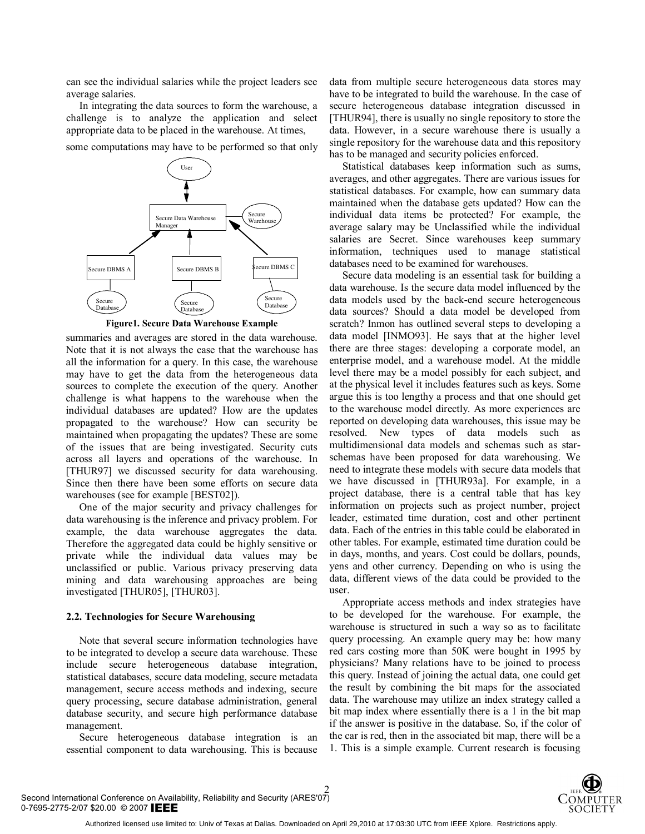can see the individual salaries while the project leaders see average salaries.

In integrating the data sources to form the warehouse, a challenge is to analyze the application and select appropriate data to be placed in the warehouse. At times,

some computations may have to be performed so that only





summaries and averages are stored in the data warehouse. Note that it is not always the case that the warehouse has all the information for a query. In this case, the warehouse may have to get the data from the heterogeneous data sources to complete the execution of the query. Another challenge is what happens to the warehouse when the individual databases are updated? How are the updates propagated to the warehouse? How can security be maintained when propagating the updates? These are some of the issues that are being investigated. Security cuts across all layers and operations of the warehouse. In [THUR97] we discussed security for data warehousing. Since then there have been some efforts on secure data warehouses (see for example [BEST02]).

One of the major security and privacy challenges for data warehousing is the inference and privacy problem. For example, the data warehouse aggregates the data. Therefore the aggregated data could be highly sensitive or private while the individual data values may be unclassified or public. Various privacy preserving data mining and data warehousing approaches are being investigated [THUR05], [THUR03].

#### **2.2. Technologies for Secure Warehousing**

Note that several secure information technologies have to be integrated to develop a secure data warehouse. These include secure heterogeneous database integration, statistical databases, secure data modeling, secure metadata management, secure access methods and indexing, secure query processing, secure database administration, general database security, and secure high performance database management.

Secure heterogeneous database integration is an essential component to data warehousing. This is because data from multiple secure heterogeneous data stores may have to be integrated to build the warehouse. In the case of secure heterogeneous database integration discussed in [THUR94], there is usually no single repository to store the data. However, in a secure warehouse there is usually a single repository for the warehouse data and this repository has to be managed and security policies enforced.

Statistical databases keep information such as sums, averages, and other aggregates. There are various issues for statistical databases. For example, how can summary data maintained when the database gets updated? How can the individual data items be protected? For example, the average salary may be Unclassified while the individual salaries are Secret. Since warehouses keep summary information, techniques used to manage statistical databases need to be examined for warehouses.

Secure data modeling is an essential task for building a data warehouse. Is the secure data model influenced by the data models used by the back-end secure heterogeneous data sources? Should a data model be developed from scratch? Inmon has outlined several steps to developing a data model [INMO93]. He says that at the higher level there are three stages: developing a corporate model, an enterprise model, and a warehouse model. At the middle level there may be a model possibly for each subject, and at the physical level it includes features such as keys. Some argue this is too lengthy a process and that one should get to the warehouse model directly. As more experiences are reported on developing data warehouses, this issue may be resolved. New types of data models such as multidimensional data models and schemas such as starschemas have been proposed for data warehousing. We need to integrate these models with secure data models that we have discussed in [THUR93a]. For example, in a project database, there is a central table that has key information on projects such as project number, project leader, estimated time duration, cost and other pertinent data. Each of the entries in this table could be elaborated in other tables. For example, estimated time duration could be in days, months, and years. Cost could be dollars, pounds, yens and other currency. Depending on who is using the data, different views of the data could be provided to the user.

Appropriate access methods and index strategies have to be developed for the warehouse. For example, the warehouse is structured in such a way so as to facilitate query processing. An example query may be: how many red cars costing more than 50K were bought in 1995 by physicians? Many relations have to be joined to process this query. Instead of joining the actual data, one could get the result by combining the bit maps for the associated data. The warehouse may utilize an index strategy called a bit map index where essentially there is a 1 in the bit map if the answer is positive in the database. So, if the color of the car is red, then in the associated bit map, there will be a 1. This is a simple example. Current research is focusing

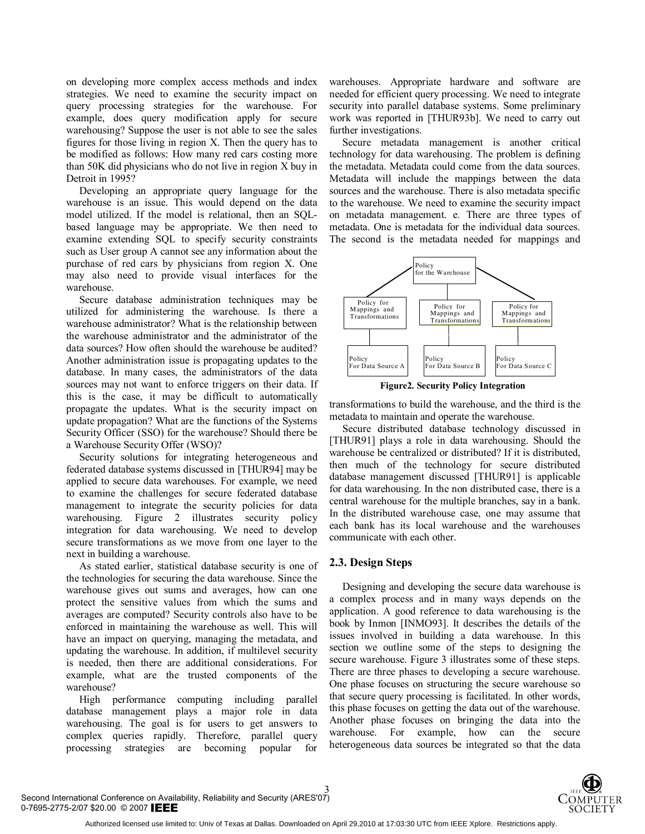on developing more complex access methods and index strategies. We need to examine the security impact on query processing strategies for the warehouse. For example, does query modification apply for secure warehousing? Suppose the user is not able to see the sales figures for those living in region X. Then the query has to be modified as follows: How many red cars costing more than 50K did physicians who do not live in region X buy in Detroit in 1995?

Developing an appropriate query language for the warehouse is an issue. This would depend on the data model utilized. If the model is relational, then an SQLbased language may be appropriate. We then need to examine extending SQL to specify security constraints such as User group A cannot see any information about the purchase of red cars by physicians from region X. One may also need to provide visual interfaces for the warehouse.

Secure database administration techniques may be utilized for administering the warehouse. Is there a warehouse administrator? What is the relationship between the warehouse administrator and the administrator of the data sources? How often should the warehouse be audited? Another administration issue is propagating updates to the database. In many cases, the administrators of the data sources may not want to enforce triggers on their data. If this is the case, it may be difficult to automatically propagate the updates. What is the security impact on update propagation? What are the functions of the Systems Security Officer (SSO) for the warehouse? Should there be a Warehouse Security Offer (WSO)?

Security solutions for integrating heterogeneous and federated database systems discussed in [THUR94] may be applied to secure data warehouses. For example, we need to examine the challenges for secure federated database management to integrate the security policies for data warehousing. Figure 2 illustrates security policy integration for data warehousing. We need to develop secure transformations as we move from one layer to the next in building a warehouse.

As stated earlier, statistical database security is one of the technologies for securing the data warehouse. Since the warehouse gives out sums and averages, how can one protect the sensitive values from which the sums and averages are computed? Security controls also have to be enforced in maintaining the warehouse as well. This will have an impact on querying, managing the metadata, and updating the warehouse. In addition, if multilevel security is needed, then there are additional considerations. For example, what are the trusted components of the warehouse?

High performance computing including parallel database management plays a major role in data warehousing. The goal is for users to get answers to complex queries rapidly. Therefore, parallel query processing strategies are becoming popular for

warehouses. Appropriate hardware and software are needed for efficient query processing. We need to integrate security into parallel database systems. Some preliminary work was reported in [THUR93b]. We need to carry out further investigations.

Secure metadata management is another critical technology for data warehousing. The problem is defining the metadata. Metadata could come from the data sources. Metadata will include the mappings between the data sources and the warehouse. There is also metadata specific to the warehouse. We need to examine the security impact on metadata management. e. There are three types of metadata. One is metadata for the individual data sources. The second is the metadata needed for mappings and



**Figure2. Security Policy Integration** 

transformations to build the warehouse, and the third is the metadata to maintain and operate the warehouse.

Secure distributed database technology discussed in [THUR91] plays a role in data warehousing. Should the warehouse be centralized or distributed? If it is distributed, then much of the technology for secure distributed database management discussed [THUR91] is applicable for data warehousing. In the non distributed case, there is a central warehouse for the multiple branches, say in a bank. In the distributed warehouse case, one may assume that each bank has its local warehouse and the warehouses communicate with each other.

## **2.3. Design Steps**

Designing and developing the secure data warehouse is a complex process and in many ways depends on the application. A good reference to data warehousing is the book by Inmon [INMO93]. It describes the details of the issues involved in building a data warehouse. In this section we outline some of the steps to designing the secure warehouse. Figure 3 illustrates some of these steps. There are three phases to developing a secure warehouse. One phase focuses on structuring the secure warehouse so that secure query processing is facilitated. In other words, this phase focuses on getting the data out of the warehouse. Another phase focuses on bringing the data into the warehouse. For example, how can the secure heterogeneous data sources be integrated so that the data

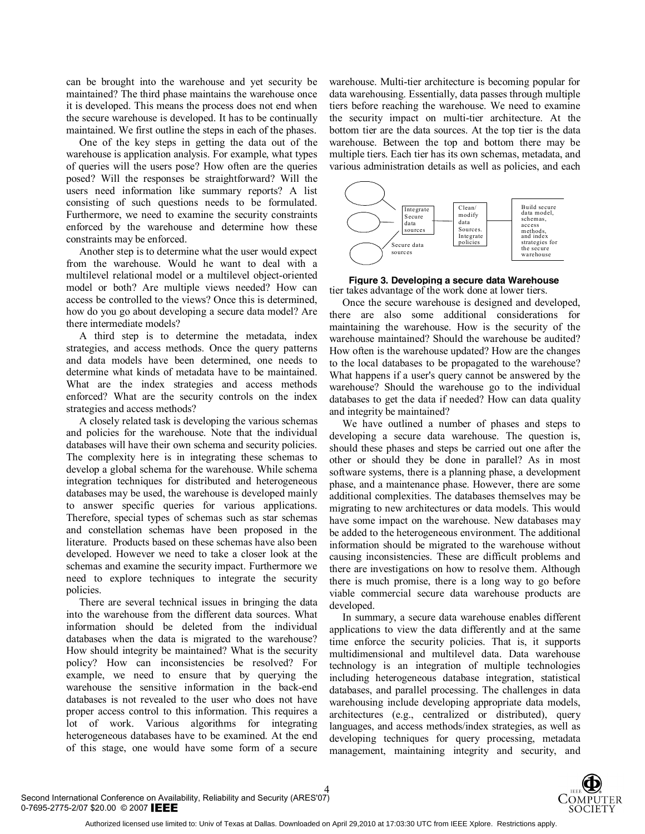can be brought into the warehouse and yet security be maintained? The third phase maintains the warehouse once it is developed. This means the process does not end when the secure warehouse is developed. It has to be continually maintained. We first outline the steps in each of the phases.

One of the key steps in getting the data out of the warehouse is application analysis. For example, what types of queries will the users pose? How often are the queries posed? Will the responses be straightforward? Will the users need information like summary reports? A list consisting of such questions needs to be formulated. Furthermore, we need to examine the security constraints enforced by the warehouse and determine how these constraints may be enforced.

Another step is to determine what the user would expect from the warehouse. Would he want to deal with a multilevel relational model or a multilevel object-oriented model or both? Are multiple views needed? How can access be controlled to the views? Once this is determined, how do you go about developing a secure data model? Are there intermediate models?

A third step is to determine the metadata, index strategies, and access methods. Once the query patterns and data models have been determined, one needs to determine what kinds of metadata have to be maintained. What are the index strategies and access methods enforced? What are the security controls on the index strategies and access methods?

A closely related task is developing the various schemas and policies for the warehouse. Note that the individual databases will have their own schema and security policies. The complexity here is in integrating these schemas to develop a global schema for the warehouse. While schema integration techniques for distributed and heterogeneous databases may be used, the warehouse is developed mainly to answer specific queries for various applications. Therefore, special types of schemas such as star schemas and constellation schemas have been proposed in the literature. Products based on these schemas have also been developed. However we need to take a closer look at the schemas and examine the security impact. Furthermore we need to explore techniques to integrate the security policies.

There are several technical issues in bringing the data into the warehouse from the different data sources. What information should be deleted from the individual databases when the data is migrated to the warehouse? How should integrity be maintained? What is the security policy? How can inconsistencies be resolved? For example, we need to ensure that by querying the warehouse the sensitive information in the back-end databases is not revealed to the user who does not have proper access control to this information. This requires a lot of work. Various algorithms for integrating heterogeneous databases have to be examined. At the end of this stage, one would have some form of a secure

warehouse. Multi-tier architecture is becoming popular for data warehousing. Essentially, data passes through multiple tiers before reaching the warehouse. We need to examine the security impact on multi-tier architecture. At the bottom tier are the data sources. At the top tier is the data warehouse. Between the top and bottom there may be multiple tiers. Each tier has its own schemas, metadata, and various administration details as well as policies, and each



tier takes advantage of the work done at lower tiers. **Figure 3. Developing a secure data Warehouse**

Once the secure warehouse is designed and developed, there are also some additional considerations for maintaining the warehouse. How is the security of the warehouse maintained? Should the warehouse be audited? How often is the warehouse updated? How are the changes to the local databases to be propagated to the warehouse? What happens if a user's query cannot be answered by the warehouse? Should the warehouse go to the individual databases to get the data if needed? How can data quality and integrity be maintained?

We have outlined a number of phases and steps to developing a secure data warehouse. The question is, should these phases and steps be carried out one after the other or should they be done in parallel? As in most software systems, there is a planning phase, a development phase, and a maintenance phase. However, there are some additional complexities. The databases themselves may be migrating to new architectures or data models. This would have some impact on the warehouse. New databases may be added to the heterogeneous environment. The additional information should be migrated to the warehouse without causing inconsistencies. These are difficult problems and there are investigations on how to resolve them. Although there is much promise, there is a long way to go before viable commercial secure data warehouse products are developed.

In summary, a secure data warehouse enables different applications to view the data differently and at the same time enforce the security policies. That is, it supports multidimensional and multilevel data. Data warehouse technology is an integration of multiple technologies including heterogeneous database integration, statistical databases, and parallel processing. The challenges in data warehousing include developing appropriate data models, architectures (e.g., centralized or distributed), query languages, and access methods/index strategies, as well as developing techniques for query processing, metadata management, maintaining integrity and security, and

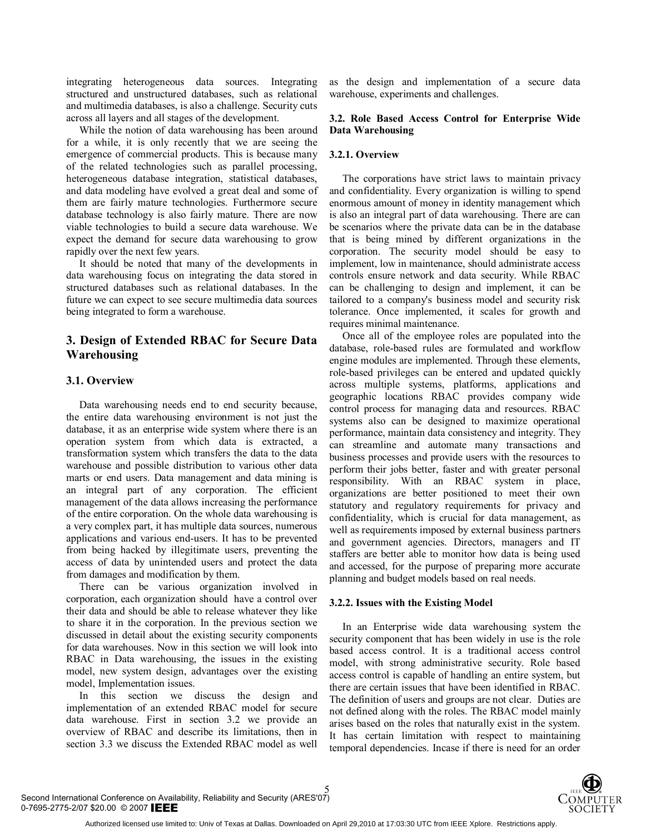integrating heterogeneous data sources. Integrating structured and unstructured databases, such as relational and multimedia databases, is also a challenge. Security cuts across all layers and all stages of the development.

While the notion of data warehousing has been around for a while, it is only recently that we are seeing the emergence of commercial products. This is because many of the related technologies such as parallel processing, heterogeneous database integration, statistical databases, and data modeling have evolved a great deal and some of them are fairly mature technologies. Furthermore secure database technology is also fairly mature. There are now viable technologies to build a secure data warehouse. We expect the demand for secure data warehousing to grow rapidly over the next few years.

It should be noted that many of the developments in data warehousing focus on integrating the data stored in structured databases such as relational databases. In the future we can expect to see secure multimedia data sources being integrated to form a warehouse.

## **3. Design of Extended RBAC for Secure Data Warehousing**

## **3.1. Overview**

Data warehousing needs end to end security because, the entire data warehousing environment is not just the database, it as an enterprise wide system where there is an operation system from which data is extracted, a transformation system which transfers the data to the data warehouse and possible distribution to various other data marts or end users. Data management and data mining is an integral part of any corporation. The efficient management of the data allows increasing the performance of the entire corporation. On the whole data warehousing is a very complex part, it has multiple data sources, numerous applications and various end-users. It has to be prevented from being hacked by illegitimate users, preventing the access of data by unintended users and protect the data from damages and modification by them.

There can be various organization involved in corporation, each organization should have a control over their data and should be able to release whatever they like to share it in the corporation. In the previous section we discussed in detail about the existing security components for data warehouses. Now in this section we will look into RBAC in Data warehousing, the issues in the existing model, new system design, advantages over the existing model, Implementation issues.

In this section we discuss the design and implementation of an extended RBAC model for secure data warehouse. First in section 3.2 we provide an overview of RBAC and describe its limitations, then in section 3.3 we discuss the Extended RBAC model as well as the design and implementation of a secure data warehouse, experiments and challenges.

## **3.2. Role Based Access Control for Enterprise Wide Data Warehousing**

#### **3.2.1. Overview**

The corporations have strict laws to maintain privacy and confidentiality. Every organization is willing to spend enormous amount of money in identity management which is also an integral part of data warehousing. There are can be scenarios where the private data can be in the database that is being mined by different organizations in the corporation. The security model should be easy to implement, low in maintenance, should administrate access controls ensure network and data security. While RBAC can be challenging to design and implement, it can be tailored to a company's business model and security risk tolerance. Once implemented, it scales for growth and requires minimal maintenance.

Once all of the employee roles are populated into the database, role-based rules are formulated and workflow engine modules are implemented. Through these elements, role-based privileges can be entered and updated quickly across multiple systems, platforms, applications and geographic locations RBAC provides company wide control process for managing data and resources. RBAC systems also can be designed to maximize operational performance, maintain data consistency and integrity. They can streamline and automate many transactions and business processes and provide users with the resources to perform their jobs better, faster and with greater personal responsibility. With an RBAC system in place, organizations are better positioned to meet their own statutory and regulatory requirements for privacy and confidentiality, which is crucial for data management, as well as requirements imposed by external business partners and government agencies. Directors, managers and IT staffers are better able to monitor how data is being used and accessed, for the purpose of preparing more accurate planning and budget models based on real needs.

#### **3.2.2. Issues with the Existing Model**

In an Enterprise wide data warehousing system the security component that has been widely in use is the role based access control. It is a traditional access control model, with strong administrative security. Role based access control is capable of handling an entire system, but there are certain issues that have been identified in RBAC. The definition of users and groups are not clear. Duties are not defined along with the roles. The RBAC model mainly arises based on the roles that naturally exist in the system. It has certain limitation with respect to maintaining temporal dependencies. Incase if there is need for an order

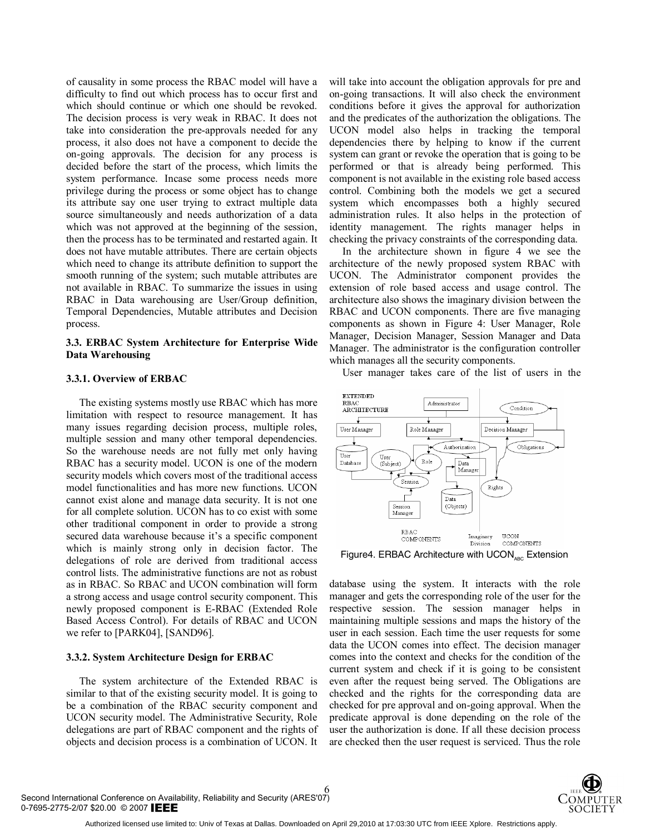of causality in some process the RBAC model will have a difficulty to find out which process has to occur first and which should continue or which one should be revoked. The decision process is very weak in RBAC. It does not take into consideration the pre-approvals needed for any process, it also does not have a component to decide the on-going approvals. The decision for any process is decided before the start of the process, which limits the system performance. Incase some process needs more privilege during the process or some object has to change its attribute say one user trying to extract multiple data source simultaneously and needs authorization of a data which was not approved at the beginning of the session, then the process has to be terminated and restarted again. It does not have mutable attributes. There are certain objects which need to change its attribute definition to support the smooth running of the system; such mutable attributes are not available in RBAC. To summarize the issues in using RBAC in Data warehousing are User/Group definition, Temporal Dependencies, Mutable attributes and Decision process.

#### **3.3. ERBAC System Architecture for Enterprise Wide Data Warehousing**

#### **3.3.1. Overview of ERBAC**

The existing systems mostly use RBAC which has more limitation with respect to resource management. It has many issues regarding decision process, multiple roles, multiple session and many other temporal dependencies. So the warehouse needs are not fully met only having RBAC has a security model. UCON is one of the modern security models which covers most of the traditional access model functionalities and has more new functions. UCON cannot exist alone and manage data security. It is not one for all complete solution. UCON has to co exist with some other traditional component in order to provide a strong secured data warehouse because it's a specific component which is mainly strong only in decision factor. The delegations of role are derived from traditional access control lists. The administrative functions are not as robust as in RBAC. So RBAC and UCON combination will form a strong access and usage control security component. This newly proposed component is E-RBAC (Extended Role Based Access Control). For details of RBAC and UCON we refer to [PARK04], [SAND96].

#### **3.3.2. System Architecture Design for ERBAC**

The system architecture of the Extended RBAC is similar to that of the existing security model. It is going to be a combination of the RBAC security component and UCON security model. The Administrative Security, Role delegations are part of RBAC component and the rights of objects and decision process is a combination of UCON. It will take into account the obligation approvals for pre and on-going transactions. It will also check the environment conditions before it gives the approval for authorization and the predicates of the authorization the obligations. The UCON model also helps in tracking the temporal dependencies there by helping to know if the current system can grant or revoke the operation that is going to be performed or that is already being performed. This component is not available in the existing role based access control. Combining both the models we get a secured system which encompasses both a highly secured administration rules. It also helps in the protection of identity management. The rights manager helps in checking the privacy constraints of the corresponding data.

In the architecture shown in figure 4 we see the architecture of the newly proposed system RBAC with UCON. The Administrator component provides the extension of role based access and usage control. The architecture also shows the imaginary division between the RBAC and UCON components. There are five managing components as shown in Figure 4: User Manager, Role Manager, Decision Manager, Session Manager and Data Manager. The administrator is the configuration controller which manages all the security components.

User manager takes care of the list of users in the



Figure4. ERBAC Architecture with UCON $_{ABC}$  Extension

database using the system. It interacts with the role manager and gets the corresponding role of the user for the respective session. The session manager helps in maintaining multiple sessions and maps the history of the user in each session. Each time the user requests for some data the UCON comes into effect. The decision manager comes into the context and checks for the condition of the current system and check if it is going to be consistent even after the request being served. The Obligations are checked and the rights for the corresponding data are checked for pre approval and on-going approval. When the predicate approval is done depending on the role of the user the authorization is done. If all these decision process are checked then the user request is serviced. Thus the role

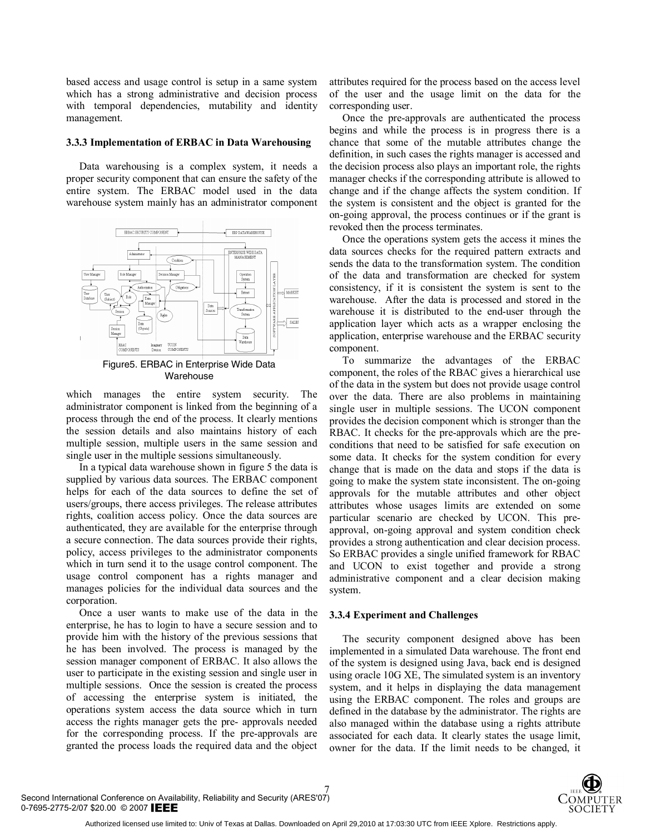based access and usage control is setup in a same system which has a strong administrative and decision process with temporal dependencies, mutability and identity management.

#### **3.3.3 Implementation of ERBAC in Data Warehousing**

Data warehousing is a complex system, it needs a proper security component that can ensure the safety of the entire system. The ERBAC model used in the data warehouse system mainly has an administrator component



which manages the entire system security. The administrator component is linked from the beginning of a process through the end of the process. It clearly mentions the session details and also maintains history of each multiple session, multiple users in the same session and single user in the multiple sessions simultaneously.

In a typical data warehouse shown in figure 5 the data is supplied by various data sources. The ERBAC component helps for each of the data sources to define the set of users/groups, there access privileges. The release attributes rights, coalition access policy. Once the data sources are authenticated, they are available for the enterprise through a secure connection. The data sources provide their rights, policy, access privileges to the administrator components which in turn send it to the usage control component. The usage control component has a rights manager and manages policies for the individual data sources and the corporation.

Once a user wants to make use of the data in the enterprise, he has to login to have a secure session and to provide him with the history of the previous sessions that he has been involved. The process is managed by the session manager component of ERBAC. It also allows the user to participate in the existing session and single user in multiple sessions. Once the session is created the process of accessing the enterprise system is initiated, the operations system access the data source which in turn access the rights manager gets the pre- approvals needed for the corresponding process. If the pre-approvals are granted the process loads the required data and the object attributes required for the process based on the access level of the user and the usage limit on the data for the corresponding user.

Once the pre-approvals are authenticated the process begins and while the process is in progress there is a chance that some of the mutable attributes change the definition, in such cases the rights manager is accessed and the decision process also plays an important role, the rights manager checks if the corresponding attribute is allowed to change and if the change affects the system condition. If the system is consistent and the object is granted for the on-going approval, the process continues or if the grant is revoked then the process terminates.

Once the operations system gets the access it mines the data sources checks for the required pattern extracts and sends the data to the transformation system. The condition of the data and transformation are checked for system consistency, if it is consistent the system is sent to the warehouse. After the data is processed and stored in the warehouse it is distributed to the end-user through the application layer which acts as a wrapper enclosing the application, enterprise warehouse and the ERBAC security component.

To summarize the advantages of the ERBAC component, the roles of the RBAC gives a hierarchical use of the data in the system but does not provide usage control over the data. There are also problems in maintaining single user in multiple sessions. The UCON component provides the decision component which is stronger than the RBAC. It checks for the pre-approvals which are the preconditions that need to be satisfied for safe execution on some data. It checks for the system condition for every change that is made on the data and stops if the data is going to make the system state inconsistent. The on-going approvals for the mutable attributes and other object attributes whose usages limits are extended on some particular scenario are checked by UCON. This preapproval, on-going approval and system condition check provides a strong authentication and clear decision process. So ERBAC provides a single unified framework for RBAC and UCON to exist together and provide a strong administrative component and a clear decision making system.

#### **3.3.4 Experiment and Challenges**

The security component designed above has been implemented in a simulated Data warehouse. The front end of the system is designed using Java, back end is designed using oracle 10G XE, The simulated system is an inventory system, and it helps in displaying the data management using the ERBAC component. The roles and groups are defined in the database by the administrator. The rights are also managed within the database using a rights attribute associated for each data. It clearly states the usage limit, owner for the data. If the limit needs to be changed, it